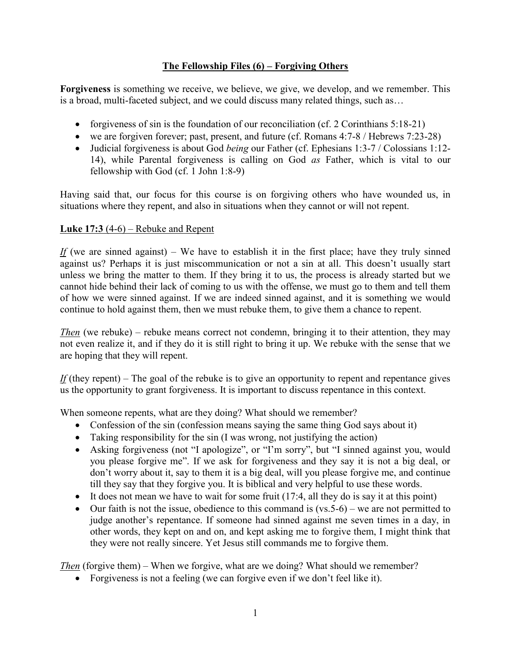## **The Fellowship Files (6) – Forgiving Others**

**Forgiveness** is something we receive, we believe, we give, we develop, and we remember. This is a broad, multi-faceted subject, and we could discuss many related things, such as…

- forgiveness of sin is the foundation of our reconciliation (cf. 2 Corinthians  $5:18-21$ )
- we are forgiven forever; past, present, and future (cf. Romans 4:7-8 / Hebrews 7:23-28)
- Judicial forgiveness is about God *being* our Father (cf. Ephesians 1:3-7 / Colossians 1:12- 14), while Parental forgiveness is calling on God *as* Father, which is vital to our fellowship with God (cf. 1 John 1:8-9)

Having said that, our focus for this course is on forgiving others who have wounded us, in situations where they repent, and also in situations when they cannot or will not repent.

## **Luke 17:3** (4-6) – Rebuke and Repent

*If* (we are sinned against) – We have to establish it in the first place; have they truly sinned against us? Perhaps it is just miscommunication or not a sin at all. This doesn't usually start unless we bring the matter to them. If they bring it to us, the process is already started but we cannot hide behind their lack of coming to us with the offense, we must go to them and tell them of how we were sinned against. If we are indeed sinned against, and it is something we would continue to hold against them, then we must rebuke them, to give them a chance to repent.

*Then* (we rebuke) – rebuke means correct not condemn, bringing it to their attention, they may not even realize it, and if they do it is still right to bring it up. We rebuke with the sense that we are hoping that they will repent.

*If* (they repent) – The goal of the rebuke is to give an opportunity to repent and repentance gives us the opportunity to grant forgiveness. It is important to discuss repentance in this context.

When someone repents, what are they doing? What should we remember?

- Confession of the sin (confession means saying the same thing God says about it)
- Taking responsibility for the sin (I was wrong, not justifying the action)
- Asking forgiveness (not "I apologize", or "I'm sorry", but "I sinned against you, would you please forgive me". If we ask for forgiveness and they say it is not a big deal, or don't worry about it, say to them it is a big deal, will you please forgive me, and continue till they say that they forgive you. It is biblical and very helpful to use these words.
- It does not mean we have to wait for some fruit  $(17:4,$  all they do is say it at this point)
- $\bullet$  Our faith is not the issue, obedience to this command is (vs. 5-6) we are not permitted to judge another's repentance. If someone had sinned against me seven times in a day, in other words, they kept on and on, and kept asking me to forgive them, I might think that they were not really sincere. Yet Jesus still commands me to forgive them.

*Then* (forgive them) – When we forgive, what are we doing? What should we remember?

Forgiveness is not a feeling (we can forgive even if we don't feel like it).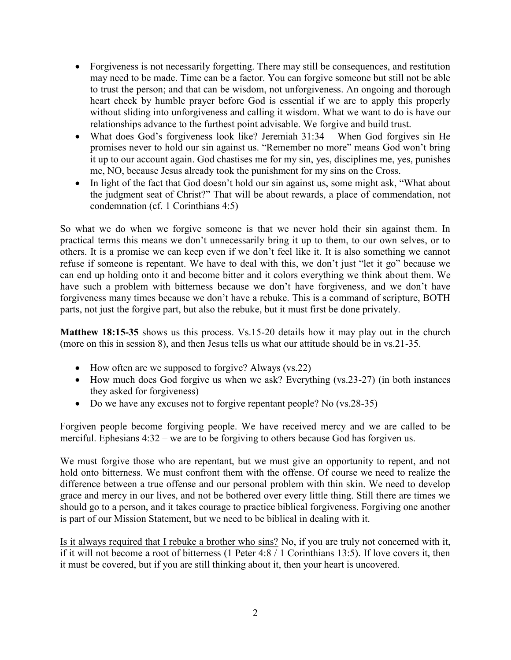- Forgiveness is not necessarily forgetting. There may still be consequences, and restitution may need to be made. Time can be a factor. You can forgive someone but still not be able to trust the person; and that can be wisdom, not unforgiveness. An ongoing and thorough heart check by humble prayer before God is essential if we are to apply this properly without sliding into unforgiveness and calling it wisdom. What we want to do is have our relationships advance to the furthest point advisable. We forgive and build trust.
- What does God's forgiveness look like? Jeremiah 31:34 When God forgives sin He promises never to hold our sin against us. "Remember no more" means God won't bring it up to our account again. God chastises me for my sin, yes, disciplines me, yes, punishes me, NO, because Jesus already took the punishment for my sins on the Cross.
- In light of the fact that God doesn't hold our sin against us, some might ask, "What about the judgment seat of Christ?" That will be about rewards, a place of commendation, not condemnation (cf. 1 Corinthians 4:5)

So what we do when we forgive someone is that we never hold their sin against them. In practical terms this means we don't unnecessarily bring it up to them, to our own selves, or to others. It is a promise we can keep even if we don't feel like it. It is also something we cannot refuse if someone is repentant. We have to deal with this, we don't just "let it go" because we can end up holding onto it and become bitter and it colors everything we think about them. We have such a problem with bitterness because we don't have forgiveness, and we don't have forgiveness many times because we don't have a rebuke. This is a command of scripture, BOTH parts, not just the forgive part, but also the rebuke, but it must first be done privately.

**Matthew 18:15-35** shows us this process. Vs.15-20 details how it may play out in the church (more on this in session 8), and then Jesus tells us what our attitude should be in vs.21-35.

- How often are we supposed to forgive? Always (vs.22)
- How much does God forgive us when we ask? Everything (vs.23-27) (in both instances they asked for forgiveness)
- Do we have any excuses not to forgive repentant people? No (vs.28-35)

Forgiven people become forgiving people. We have received mercy and we are called to be merciful. Ephesians 4:32 – we are to be forgiving to others because God has forgiven us.

We must forgive those who are repentant, but we must give an opportunity to repent, and not hold onto bitterness. We must confront them with the offense. Of course we need to realize the difference between a true offense and our personal problem with thin skin. We need to develop grace and mercy in our lives, and not be bothered over every little thing. Still there are times we should go to a person, and it takes courage to practice biblical forgiveness. Forgiving one another is part of our Mission Statement, but we need to be biblical in dealing with it.

Is it always required that I rebuke a brother who sins? No, if you are truly not concerned with it, if it will not become a root of bitterness (1 Peter 4:8 / 1 Corinthians 13:5). If love covers it, then it must be covered, but if you are still thinking about it, then your heart is uncovered.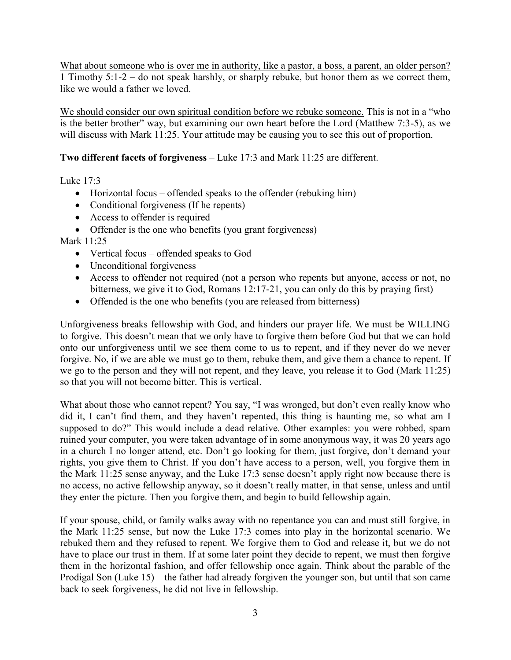What about someone who is over me in authority, like a pastor, a boss, a parent, an older person? 1 Timothy 5:1-2 – do not speak harshly, or sharply rebuke, but honor them as we correct them, like we would a father we loved.

We should consider our own spiritual condition before we rebuke someone. This is not in a "who is the better brother" way, but examining our own heart before the Lord (Matthew 7:3-5), as we will discuss with Mark 11:25. Your attitude may be causing you to see this out of proportion.

## **Two different facets of forgiveness** – Luke 17:3 and Mark 11:25 are different.

Luke  $17.3$ 

- Horizontal focus offended speaks to the offender (rebuking him)
- Conditional forgiveness (If he repents)
- Access to offender is required
- Offender is the one who benefits (you grant forgiveness)

Mark 11:25

- Vertical focus offended speaks to God
- Unconditional forgiveness
- Access to offender not required (not a person who repents but anyone, access or not, no bitterness, we give it to God, Romans 12:17-21, you can only do this by praying first)
- Offended is the one who benefits (you are released from bitterness)

Unforgiveness breaks fellowship with God, and hinders our prayer life. We must be WILLING to forgive. This doesn't mean that we only have to forgive them before God but that we can hold onto our unforgiveness until we see them come to us to repent, and if they never do we never forgive. No, if we are able we must go to them, rebuke them, and give them a chance to repent. If we go to the person and they will not repent, and they leave, you release it to God (Mark 11:25) so that you will not become bitter. This is vertical.

What about those who cannot repent? You say, "I was wronged, but don't even really know who did it, I can't find them, and they haven't repented, this thing is haunting me, so what am I supposed to do?" This would include a dead relative. Other examples: you were robbed, spam ruined your computer, you were taken advantage of in some anonymous way, it was 20 years ago in a church I no longer attend, etc. Don't go looking for them, just forgive, don't demand your rights, you give them to Christ. If you don't have access to a person, well, you forgive them in the Mark 11:25 sense anyway, and the Luke 17:3 sense doesn't apply right now because there is no access, no active fellowship anyway, so it doesn't really matter, in that sense, unless and until they enter the picture. Then you forgive them, and begin to build fellowship again.

If your spouse, child, or family walks away with no repentance you can and must still forgive, in the Mark 11:25 sense, but now the Luke 17:3 comes into play in the horizontal scenario. We rebuked them and they refused to repent. We forgive them to God and release it, but we do not have to place our trust in them. If at some later point they decide to repent, we must then forgive them in the horizontal fashion, and offer fellowship once again. Think about the parable of the Prodigal Son (Luke 15) – the father had already forgiven the younger son, but until that son came back to seek forgiveness, he did not live in fellowship.